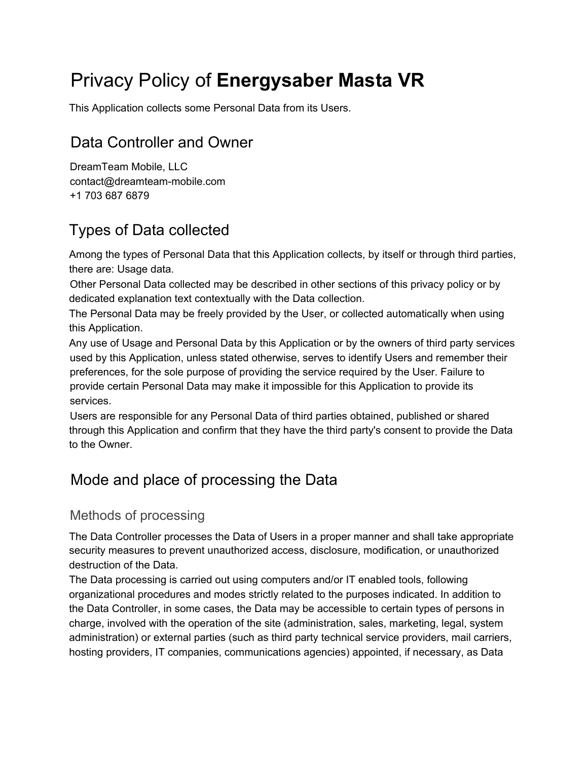# Privacy Policy of **Energysaber Masta VR**

This Application collects some Personal Data from its Users.

# Data Controller and Owner

DreamTeam Mobile, LLC contact@dreamteam-mobile.com +1 703 687 6879

# Types of Data collected

Among the types of Personal Data that this Application collects, by itself or through third parties, there are: Usage data.

Other Personal Data collected may be described in other sections of this privacy policy or by dedicated explanation text contextually with the Data collection.

The Personal Data may be freely provided by the User, or collected automatically when using this Application.

Any use of Usage and Personal Data by this Application or by the owners of third party services used by this Application, unless stated otherwise, serves to identify Users and remember their preferences, for the sole purpose of providing the service required by the User. Failure to provide certain Personal Data may make it impossible for this Application to provide its services.

Users are responsible for any Personal Data of third parties obtained, published or shared through this Application and confirm that they have the third party's consent to provide the Data to the Owner.

# Mode and place of processing the Data

## Methods of processing

The Data Controller processes the Data of Users in a proper manner and shall take appropriate security measures to prevent unauthorized access, disclosure, modification, or unauthorized destruction of the Data.

The Data processing is carried out using computers and/or IT enabled tools, following organizational procedures and modes strictly related to the purposes indicated. In addition to the Data Controller, in some cases, the Data may be accessible to certain types of persons in charge, involved with the operation of the site (administration, sales, marketing, legal, system administration) or external parties (such as third party technical service providers, mail carriers, hosting providers, IT companies, communications agencies) appointed, if necessary, as Data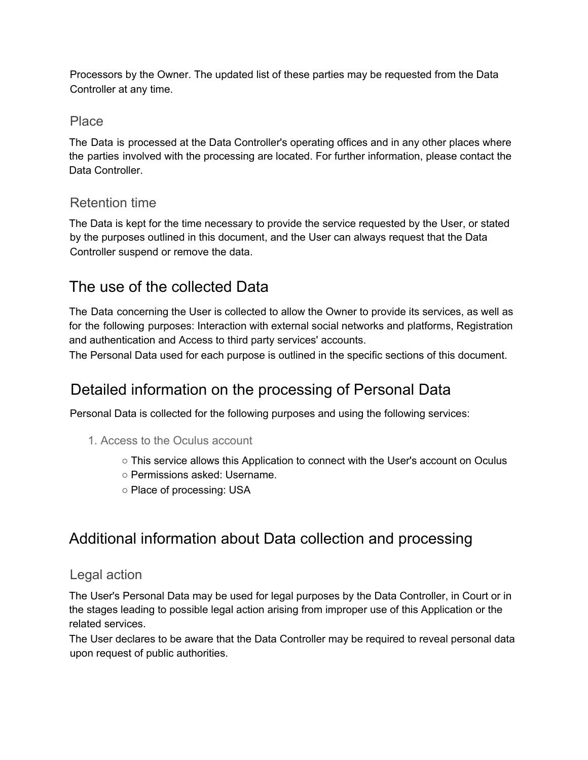Processors by the Owner. The updated list of these parties may be requested from the Data Controller at any time.

### Place

The Data is processed at the Data Controller's operating offices and in any other places where the parties involved with the processing are located. For further information, please contact the Data Controller.

### Retention time

The Data is kept for the time necessary to provide the service requested by the User, or stated by the purposes outlined in this document, and the User can always request that the Data Controller suspend or remove the data.

# The use of the collected Data

The Data concerning the User is collected to allow the Owner to provide its services, as well as for the following purposes: Interaction with external social networks and platforms, Registration and authentication and Access to third party services' accounts.

The Personal Data used for each purpose is outlined in the specific sections of this document.

# Detailed information on the processing of Personal Data

Personal Data is collected for the following purposes and using the following services:

- 1. Access to the Oculus account
	- This service allows this Application to connect with the User's account on Oculus
	- Permissions asked: Username.
	- Place of processing: USA

# Additional information about Data collection and processing

### Legal action

The User's Personal Data may be used for legal purposes by the Data Controller, in Court or in the stages leading to possible legal action arising from improper use of this Application or the related services.

The User declares to be aware that the Data Controller may be required to reveal personal data upon request of public authorities.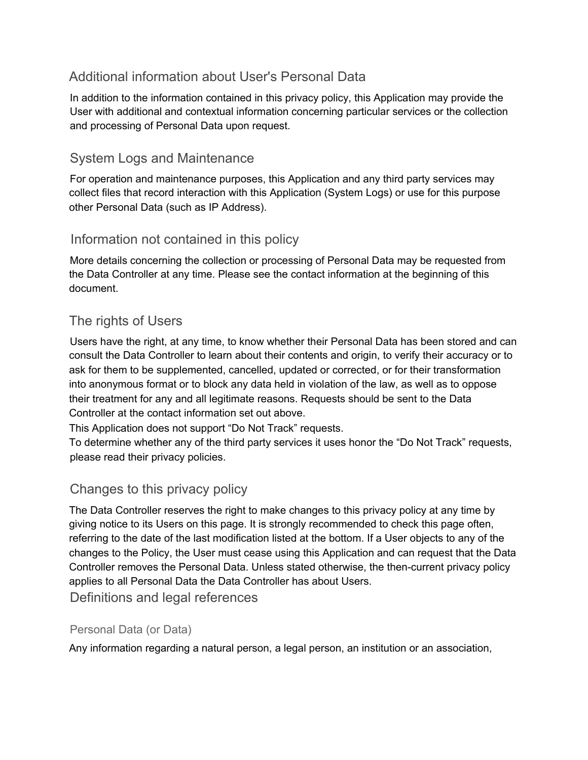### Additional information about User's Personal Data

In addition to the information contained in this privacy policy, this Application may provide the User with additional and contextual information concerning particular services or the collection and processing of Personal Data upon request.

### System Logs and Maintenance

For operation and maintenance purposes, this Application and any third party services may collect files that record interaction with this Application (System Logs) or use for this purpose other Personal Data (such as IP Address).

### Information not contained in this policy

More details concerning the collection or processing of Personal Data may be requested from the Data Controller at any time. Please see the contact information at the beginning of this document.

### The rights of Users

Users have the right, at any time, to know whether their Personal Data has been stored and can consult the Data Controller to learn about their contents and origin, to verify their accuracy or to ask for them to be supplemented, cancelled, updated or corrected, or for their transformation into anonymous format or to block any data held in violation of the law, as well as to oppose their treatment for any and all legitimate reasons. Requests should be sent to the Data Controller at the contact information set out above.

This Application does not support "Do Not Track" requests.

To determine whether any of the third party services it uses honor the "Do Not Track" requests, please read their privacy policies.

### Changes to this privacy policy

The Data Controller reserves the right to make changes to this privacy policy at any time by giving notice to its Users on this page. It is strongly recommended to check this page often, referring to the date of the last modification listed at the bottom. If a User objects to any of the changes to the Policy, the User must cease using this Application and can request that the Data Controller removes the Personal Data. Unless stated otherwise, the then-current privacy policy applies to all Personal Data the Data Controller has about Users.

Definitions and legal references

#### Personal Data (or Data)

Any information regarding a natural person, a legal person, an institution or an association,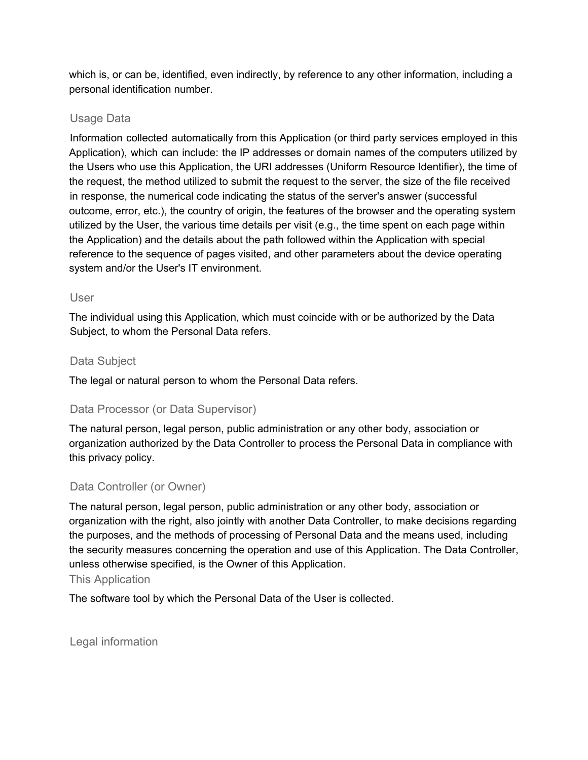which is, or can be, identified, even indirectly, by reference to any other information, including a personal identification number.

#### Usage Data

Information collected automatically from this Application (or third party services employed in this Application), which can include: the IP addresses or domain names of the computers utilized by the Users who use this Application, the URI addresses (Uniform Resource Identifier), the time of the request, the method utilized to submit the request to the server, the size of the file received in response, the numerical code indicating the status of the server's answer (successful outcome, error, etc.), the country of origin, the features of the browser and the operating system utilized by the User, the various time details per visit (e.g., the time spent on each page within the Application) and the details about the path followed within the Application with special reference to the sequence of pages visited, and other parameters about the device operating system and/or the User's IT environment.

#### User

The individual using this Application, which must coincide with or be authorized by the Data Subject, to whom the Personal Data refers.

#### Data Subject

The legal or natural person to whom the Personal Data refers.

#### Data Processor (or Data Supervisor)

The natural person, legal person, public administration or any other body, association or organization authorized by the Data Controller to process the Personal Data in compliance with this privacy policy.

#### Data Controller (or Owner)

The natural person, legal person, public administration or any other body, association or organization with the right, also jointly with another Data Controller, to make decisions regarding the purposes, and the methods of processing of Personal Data and the means used, including the security measures concerning the operation and use of this Application. The Data Controller, unless otherwise specified, is the Owner of this Application.

#### This Application

The software tool by which the Personal Data of the User is collected.

Legal information